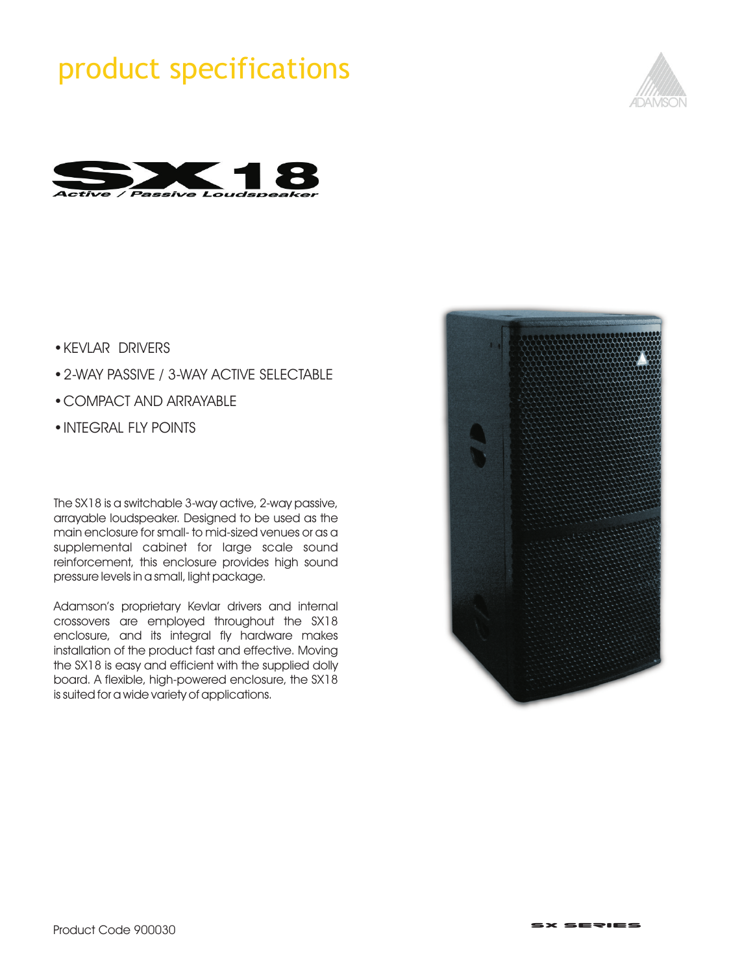# product specifications





- **KEVLAR DRIVERS**
- 2-WAY PASSIVE / 3-WAY ACTIVE SELECTABLE
- ? ?COMPACT AND ARRAYABLE
- INTEGRAL FLY POINTS

The SX18 is a switchable 3-way active, 2-way passive, arrayable loudspeaker. Designed to be used as the main enclosure for small- to mid-sized venues or as a supplemental cabinet for large scale sound reinforcement, this enclosure provides high sound pressure levels in a small, light package.

Adamson's proprietary Kevlar drivers and internal crossovers are employed throughout the SX18 enclosure, and its integral fly hardware makes installation of the product fast and effective. Moving the SX18 is easy and efficient with the supplied dolly board. A flexible, high-powered enclosure, the SX18 is suited for a wide variety of applications.